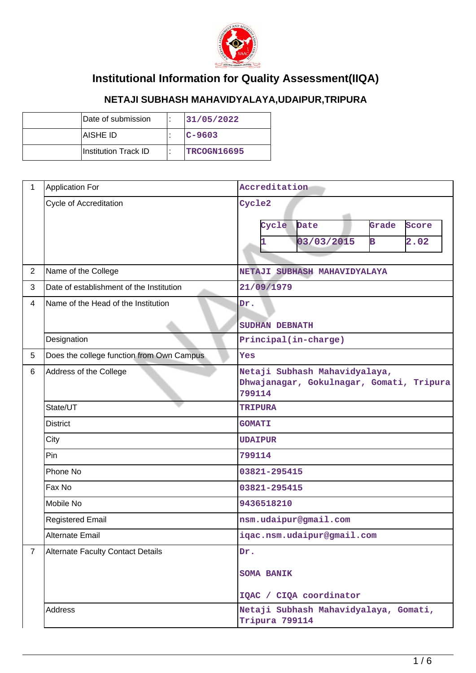

## **Institutional Information for Quality Assessment(IIQA)**

## **NETAJI SUBHASH MAHAVIDYALAYA,UDAIPUR,TRIPURA**

| Date of submission   |  | 131/05/2022  |
|----------------------|--|--------------|
| IAISHE ID            |  | $ C - 9603 $ |
| Institution Track ID |  | TRCOGN16695  |

| 1              | <b>Application For</b>                    | Accreditation                                                                       |
|----------------|-------------------------------------------|-------------------------------------------------------------------------------------|
|                | Cycle of Accreditation                    | Cycle2<br>Cycle<br>Date<br>Grade<br>Score<br>03/03/2015<br>в<br>2.02                |
| $\overline{2}$ | Name of the College                       | NETAJI SUBHASH MAHAVIDYALAYA                                                        |
| 3              | Date of establishment of the Institution  | 21/09/1979                                                                          |
| $\overline{4}$ | Name of the Head of the Institution       | Dr.                                                                                 |
|                |                                           | SUDHAN DEBNATH                                                                      |
|                | Designation                               | Principal(in-charge)                                                                |
| 5              | Does the college function from Own Campus | Yes                                                                                 |
| 6              | Address of the College                    | Netaji Subhash Mahavidyalaya,<br>Dhwajanagar, Gokulnagar, Gomati, Tripura<br>799114 |
|                | State/UT                                  | <b>TRIPURA</b>                                                                      |
|                | <b>District</b>                           | <b>GOMATI</b>                                                                       |
|                | City                                      | <b>UDAIPUR</b>                                                                      |
|                | Pin                                       | 799114                                                                              |
|                | Phone No                                  | 03821-295415                                                                        |
|                | Fax No                                    | 03821-295415                                                                        |
|                | Mobile No                                 | 9436518210                                                                          |
|                | <b>Registered Email</b>                   | nsm.udaipur@gmail.com                                                               |
|                | <b>Alternate Email</b>                    | iqac.nsm.udaipur@gmail.com                                                          |
| $\overline{7}$ | <b>Alternate Faculty Contact Details</b>  | Dr.<br><b>SOMA BANIK</b><br>IQAC / CIQA coordinator                                 |
|                | Address                                   | Netaji Subhash Mahavidyalaya, Gomati,<br>Tripura 799114                             |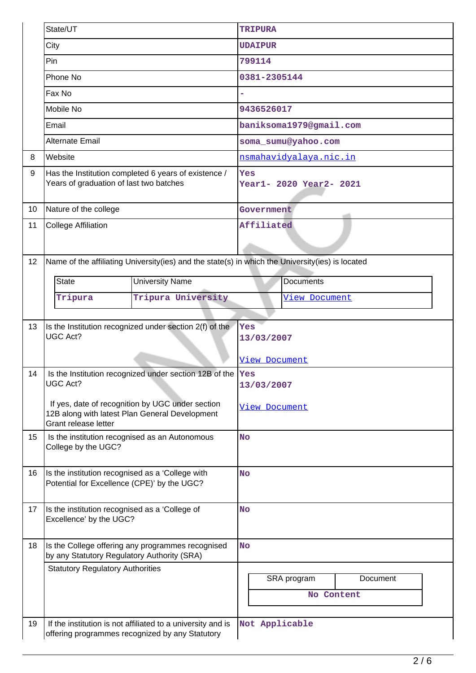|    | State/UT                                                                                                                   | <b>TRIPURA</b>                 |  |  |  |  |
|----|----------------------------------------------------------------------------------------------------------------------------|--------------------------------|--|--|--|--|
|    | City                                                                                                                       | <b>UDAIPUR</b>                 |  |  |  |  |
|    | Pin                                                                                                                        | 799114                         |  |  |  |  |
|    | Phone No                                                                                                                   | 0381-2305144                   |  |  |  |  |
|    | Fax No                                                                                                                     |                                |  |  |  |  |
|    | Mobile No                                                                                                                  | 9436526017                     |  |  |  |  |
|    | Email                                                                                                                      | baniksoma1979@gmail.com        |  |  |  |  |
|    | <b>Alternate Email</b>                                                                                                     | soma_sumu@yahoo.com            |  |  |  |  |
| 8  | Website                                                                                                                    | nsmahavidyalaya.nic.in         |  |  |  |  |
| 9  | Has the Institution completed 6 years of existence /<br>Years of graduation of last two batches                            | Yes<br>Year1- 2020 Year2- 2021 |  |  |  |  |
| 10 | Nature of the college                                                                                                      | Government                     |  |  |  |  |
| 11 | <b>College Affiliation</b>                                                                                                 | Affiliated                     |  |  |  |  |
|    |                                                                                                                            |                                |  |  |  |  |
| 12 | Name of the affiliating University(ies) and the state(s) in which the University(ies) is located                           |                                |  |  |  |  |
|    | <b>State</b><br><b>University Name</b>                                                                                     | <b>Documents</b>               |  |  |  |  |
|    | Tripura University<br>Tripura                                                                                              | View Document                  |  |  |  |  |
|    |                                                                                                                            |                                |  |  |  |  |
| 13 | Is the Institution recognized under section 2(f) of the<br><b>UGC Act?</b>                                                 | Yes<br>13/03/2007              |  |  |  |  |
|    |                                                                                                                            | View Document                  |  |  |  |  |
| 14 | Is the Institution recognized under section 12B of the  Yes<br>UGC Act?                                                    | 13/03/2007                     |  |  |  |  |
|    | If yes, date of recognition by UGC under section<br>12B along with latest Plan General Development<br>Grant release letter | View Document                  |  |  |  |  |
| 15 | Is the institution recognised as an Autonomous<br>College by the UGC?                                                      | <b>No</b>                      |  |  |  |  |
| 16 | Is the institution recognised as a 'College with<br>Potential for Excellence (CPE)' by the UGC?                            | <b>No</b>                      |  |  |  |  |
| 17 | Is the institution recognised as a 'College of<br>Excellence' by the UGC?                                                  | <b>No</b>                      |  |  |  |  |
| 18 | Is the College offering any programmes recognised<br>by any Statutory Regulatory Authority (SRA)                           | <b>No</b>                      |  |  |  |  |
|    | <b>Statutory Regulatory Authorities</b>                                                                                    | SRA program<br>Document        |  |  |  |  |
|    |                                                                                                                            | No Content                     |  |  |  |  |
|    |                                                                                                                            |                                |  |  |  |  |
| 19 | If the institution is not affiliated to a university and is<br>offering programmes recognized by any Statutory             | Not Applicable                 |  |  |  |  |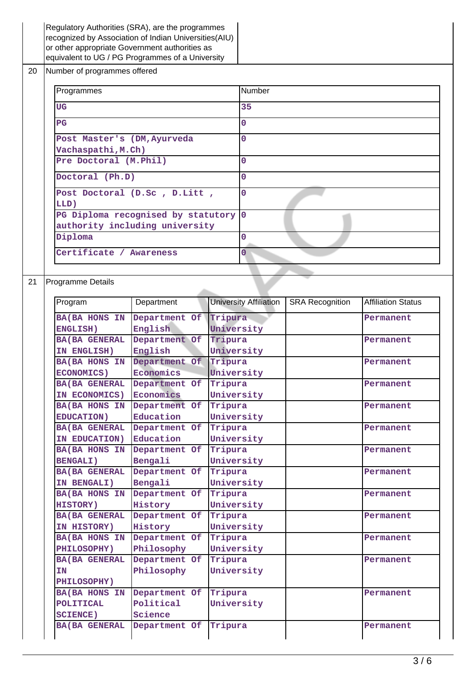|    | Regulatory Authorities (SRA), are the programmes<br>recognized by Association of Indian Universities (AIU) |                                                  |                                                                      |                       |                               |                        |                           |  |
|----|------------------------------------------------------------------------------------------------------------|--------------------------------------------------|----------------------------------------------------------------------|-----------------------|-------------------------------|------------------------|---------------------------|--|
|    | or other appropriate Government authorities as                                                             |                                                  |                                                                      |                       |                               |                        |                           |  |
|    |                                                                                                            | equivalent to UG / PG Programmes of a University |                                                                      |                       |                               |                        |                           |  |
| 20 | Number of programmes offered                                                                               |                                                  |                                                                      |                       |                               |                        |                           |  |
|    |                                                                                                            | Programmes                                       |                                                                      |                       | Number                        |                        |                           |  |
|    |                                                                                                            | <b>UG</b>                                        |                                                                      |                       | 35                            |                        |                           |  |
|    |                                                                                                            | P <sub>G</sub>                                   |                                                                      |                       | 0                             |                        |                           |  |
|    |                                                                                                            | Post Master's (DM, Ayurveda                      |                                                                      |                       | $\overline{0}$                |                        |                           |  |
|    |                                                                                                            | Vachaspathi, M.Ch)                               |                                                                      |                       |                               |                        |                           |  |
|    |                                                                                                            | Pre Doctoral (M.Phil)                            |                                                                      |                       | 0                             |                        |                           |  |
|    |                                                                                                            | Doctoral (Ph.D)                                  |                                                                      |                       | 0                             |                        |                           |  |
|    |                                                                                                            |                                                  | Post Doctoral (D.Sc, D.Litt,                                         |                       | $\overline{0}$                |                        |                           |  |
|    |                                                                                                            | LLD)                                             |                                                                      |                       |                               |                        |                           |  |
|    |                                                                                                            |                                                  | PG Diploma recognised by statutory<br>authority including university |                       | $\mathbf 0$                   |                        |                           |  |
|    |                                                                                                            | Diploma                                          |                                                                      |                       | $\mathbf{O}$                  |                        |                           |  |
|    |                                                                                                            |                                                  |                                                                      |                       |                               |                        |                           |  |
|    |                                                                                                            | Certificate / Awareness                          |                                                                      |                       | $\overline{0}$                |                        |                           |  |
|    |                                                                                                            |                                                  |                                                                      |                       |                               |                        |                           |  |
| 21 |                                                                                                            | Programme Details                                |                                                                      |                       |                               |                        |                           |  |
|    |                                                                                                            | Program                                          | Department                                                           |                       | <b>University Affiliation</b> | <b>SRA Recognition</b> | <b>Affiliation Status</b> |  |
|    |                                                                                                            | <b>BA(BA HONS IN</b>                             | Department Of                                                        | Tripura               |                               |                        | Permanent                 |  |
|    |                                                                                                            | ENGLISH)                                         | English                                                              | University            |                               |                        |                           |  |
|    |                                                                                                            | <b>BA(BA GENERAL</b>                             | Department Of                                                        | Tripura               |                               |                        | Permanent                 |  |
|    |                                                                                                            | IN ENGLISH)                                      | English                                                              | University            |                               |                        |                           |  |
|    |                                                                                                            | <b>BA(BA HONS IN</b>                             | Department Of                                                        | Tripura               |                               |                        | Permanent                 |  |
|    |                                                                                                            | <b>ECONOMICS)</b>                                | Economics                                                            | University            |                               |                        |                           |  |
|    |                                                                                                            | <b>BA (BA GENERAL</b>                            | Department Of                                                        | Tripura               |                               |                        | Permanent                 |  |
|    |                                                                                                            | IN ECONOMICS)                                    | Economics                                                            | University            |                               |                        |                           |  |
|    |                                                                                                            |                                                  | BA(BA HONS IN Department Of                                          | Tripura               |                               |                        | Permanent                 |  |
|    |                                                                                                            | <b>EDUCATION)</b>                                | Education                                                            | University            |                               |                        |                           |  |
|    |                                                                                                            | <b>BA(BA GENERAL</b>                             | Department Of                                                        | Tripura               |                               |                        | Permanent                 |  |
|    |                                                                                                            | IN EDUCATION)                                    | Education                                                            | University            |                               |                        |                           |  |
|    |                                                                                                            | <b>BA(BA HONS IN</b>                             | Department Of                                                        | Tripura               |                               |                        | Permanent                 |  |
|    |                                                                                                            | <b>BENGALI)</b>                                  | Bengali                                                              | University            |                               |                        |                           |  |
|    |                                                                                                            | <b>BA(BA GENERAL</b>                             | Department Of                                                        | Tripura               |                               |                        | Permanent                 |  |
|    |                                                                                                            | IN BENGALI)                                      | Bengali                                                              | University<br>Tripura |                               |                        |                           |  |
|    |                                                                                                            | BA (BA HONS IN<br><b>HISTORY)</b>                | Department Of<br>History                                             | University            |                               |                        | Permanent                 |  |
|    |                                                                                                            | <b>BA (BA GENERAL</b>                            | Department Of                                                        | Tripura               |                               |                        | Permanent                 |  |
|    |                                                                                                            | IN HISTORY)                                      | History                                                              | University            |                               |                        |                           |  |
|    |                                                                                                            | BA(BA HONS IN                                    | Department Of                                                        | Tripura               |                               |                        | Permanent                 |  |
|    |                                                                                                            | <b>PHILOSOPHY)</b>                               | Philosophy                                                           | University            |                               |                        |                           |  |
|    |                                                                                                            | <b>BA (BA GENERAL</b>                            | Department Of                                                        | Tripura               |                               |                        | Permanent                 |  |
|    |                                                                                                            | IN                                               | Philosophy                                                           | University            |                               |                        |                           |  |
|    |                                                                                                            | <b>PHILOSOPHY)</b>                               |                                                                      |                       |                               |                        |                           |  |
|    |                                                                                                            | <b>BA(BA HONS IN</b>                             | Department Of                                                        | Tripura               |                               |                        | Permanent                 |  |
|    |                                                                                                            | <b>POLITICAL</b>                                 | Political                                                            | University            |                               |                        |                           |  |
|    |                                                                                                            | <b>SCIENCE)</b>                                  | Science                                                              |                       |                               |                        |                           |  |
|    |                                                                                                            | <b>BA (BA GENERAL</b>                            | Department Of Tripura                                                |                       |                               |                        | Permanent                 |  |
|    |                                                                                                            |                                                  |                                                                      |                       |                               |                        |                           |  |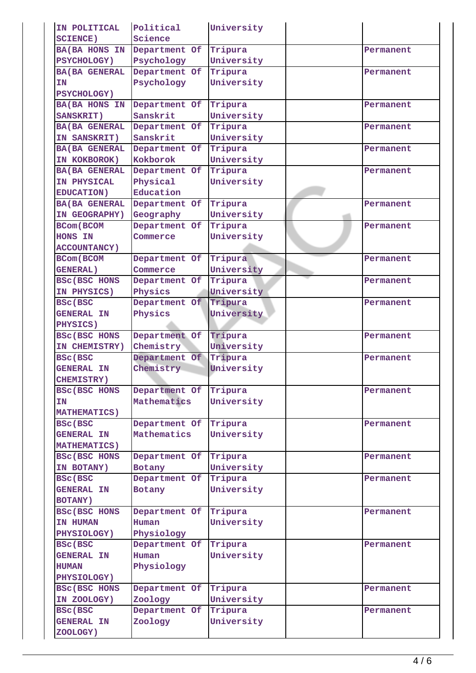| IN POLITICAL          | Political     | University |           |
|-----------------------|---------------|------------|-----------|
| <b>SCIENCE)</b>       | Science       |            |           |
| <b>BA(BA HONS IN</b>  | Department Of | Tripura    | Permanent |
| <b>PSYCHOLOGY)</b>    | Psychology    | University |           |
| <b>BA(BA GENERAL</b>  | Department Of | Tripura    | Permanent |
| ΙN                    | Psychology    | University |           |
| <b>PSYCHOLOGY)</b>    |               |            |           |
| <b>BA(BA HONS IN</b>  | Department Of | Tripura    | Permanent |
| <b>SANSKRIT)</b>      | Sanskrit      | University |           |
| <b>BA(BA GENERAL</b>  | Department Of | Tripura    | Permanent |
| IN SANSKRIT)          | Sanskrit      | University |           |
| <b>BA(BA GENERAL</b>  | Department Of | Tripura    | Permanent |
| IN KOKBOROK)          | Kokborok      | University |           |
| <b>BA(BA GENERAL</b>  | Department Of | Tripura    | Permanent |
| IN PHYSICAL           | Physical      | University |           |
| <b>EDUCATION)</b>     | Education     |            |           |
| <b>BA (BA GENERAL</b> | Department Of | Tripura    | Permanent |
| IN GEOGRAPHY)         | Geography     | University |           |
| <b>BCom (BCOM)</b>    | Department Of | Tripura    | Permanent |
| <b>HONS IN</b>        | Commerce      | University |           |
| <b>ACCOUNTANCY)</b>   |               |            |           |
| <b>BCom</b> (BCOM     | Department Of | Tripura    | Permanent |
| <b>GENERAL)</b>       | Commerce      | University |           |
| BSC(BSC HONS          | Department Of | Tripura    | Permanent |
| IN PHYSICS)           | Physics       | University |           |
| <b>BSc(BSC</b>        | Department Of | Tripura    | Permanent |
| <b>GENERAL IN</b>     | Physics       | University |           |
| PHYSICS)              |               |            |           |
| BSC(BSC HONS          | Department Of | Tripura    | Permanent |
| IN CHEMISTRY)         | Chemistry     | University |           |
| <b>BSc(BSC</b>        | Department Of | Tripura    | Permanent |
| <b>GENERAL IN</b>     | Chemistry     | University |           |
| <b>CHEMISTRY)</b>     |               |            |           |
| <b>BSC(BSC HONS</b>   | Department Of | Tripura    | Permanent |
| <b>IN</b>             | Mathematics   | University |           |
| <b>MATHEMATICS)</b>   |               |            |           |
| BSc(BSC               | Department Of | Tripura    | Permanent |
| <b>GENERAL IN</b>     | Mathematics   | University |           |
|                       |               |            |           |
| <b>MATHEMATICS)</b>   | Department Of |            |           |
| BSC(BSC HONS          |               | Tripura    | Permanent |
| IN BOTANY)            | <b>Botany</b> | University |           |
| BSc(BSC               | Department Of | Tripura    | Permanent |
| <b>GENERAL IN</b>     | Botany        | University |           |
| <b>BOTANY)</b>        |               |            |           |
| <b>BSC(BSC HONS</b>   | Department Of | Tripura    | Permanent |
| IN HUMAN              | Human         | University |           |
| PHYSIOLOGY)           | Physiology    |            |           |
| <b>BSC(BSC</b>        | Department Of | Tripura    | Permanent |
| <b>GENERAL IN</b>     | Human         | University |           |
| <b>HUMAN</b>          | Physiology    |            |           |
| PHYSIOLOGY)           |               |            |           |
| BSC (BSC HONS         | Department Of | Tripura    | Permanent |
| IN ZOOLOGY)           | Zoology       | University |           |
| <b>BSC(BSC</b>        | Department Of | Tripura    | Permanent |
| <b>GENERAL IN</b>     | Zoology       | University |           |
| ZOOLOGY)              |               |            |           |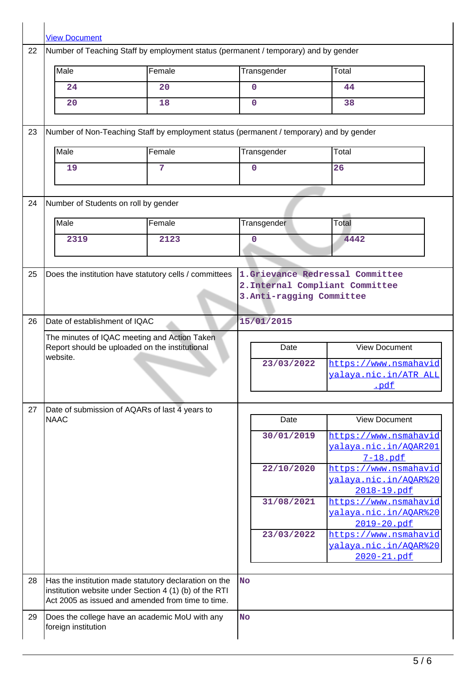|    | <b>View Document</b>                                                  |                                                                                                                                                                      |                                                                                                 |             |                                                               |  |
|----|-----------------------------------------------------------------------|----------------------------------------------------------------------------------------------------------------------------------------------------------------------|-------------------------------------------------------------------------------------------------|-------------|---------------------------------------------------------------|--|
| 22 |                                                                       | Number of Teaching Staff by employment status (permanent / temporary) and by gender                                                                                  |                                                                                                 |             |                                                               |  |
|    | Male                                                                  | Female                                                                                                                                                               |                                                                                                 | Transgender | Total                                                         |  |
|    | 24                                                                    | 20                                                                                                                                                                   |                                                                                                 | 0           | 44                                                            |  |
|    | 20                                                                    | 18                                                                                                                                                                   |                                                                                                 | $\Omega$    | 38                                                            |  |
| 23 |                                                                       | Number of Non-Teaching Staff by employment status (permanent / temporary) and by gender                                                                              |                                                                                                 |             |                                                               |  |
|    | Male                                                                  | Female                                                                                                                                                               |                                                                                                 | Transgender | Total                                                         |  |
|    | 19                                                                    | 7                                                                                                                                                                    |                                                                                                 | $\mathbf 0$ | 26                                                            |  |
| 24 | Number of Students on roll by gender                                  |                                                                                                                                                                      |                                                                                                 |             |                                                               |  |
|    | Male                                                                  | Female                                                                                                                                                               |                                                                                                 | Transgender | Total                                                         |  |
|    | 2319                                                                  | 2123                                                                                                                                                                 |                                                                                                 | 0           | 4442                                                          |  |
|    |                                                                       |                                                                                                                                                                      |                                                                                                 |             |                                                               |  |
| 25 | Does the institution have statutory cells / committees                |                                                                                                                                                                      | 1.Grievance Redressal Committee<br>2. Internal Compliant Committee<br>3. Anti-ragging Committee |             |                                                               |  |
| 26 | Date of establishment of IQAC                                         |                                                                                                                                                                      |                                                                                                 | 15/01/2015  |                                                               |  |
|    | website.                                                              | The minutes of IQAC meeting and Action Taken<br>Report should be uploaded on the institutional                                                                       |                                                                                                 | Date        | <b>View Document</b>                                          |  |
|    |                                                                       |                                                                                                                                                                      |                                                                                                 | 23/03/2022  | https://www.nsmahavid<br>yalaya.nic.in/ATR_ALL<br><u>.pdf</u> |  |
| 27 |                                                                       | Date of submission of AQARs of last 4 years to                                                                                                                       |                                                                                                 |             |                                                               |  |
|    | <b>NAAC</b>                                                           |                                                                                                                                                                      |                                                                                                 | Date        | <b>View Document</b>                                          |  |
|    |                                                                       |                                                                                                                                                                      |                                                                                                 | 30/01/2019  | https://www.nsmahavid<br>valaya.nic.in/AOAR201<br>7-18.pdf    |  |
|    |                                                                       |                                                                                                                                                                      |                                                                                                 | 22/10/2020  | https://www.nsmahavid<br>valaya.nic.in/AOAR%20<br>2018-19.pdf |  |
|    |                                                                       |                                                                                                                                                                      |                                                                                                 | 31/08/2021  | https://www.nsmahavid<br>valaya.nic.in/AOAR%20<br>2019-20.pdf |  |
|    |                                                                       |                                                                                                                                                                      |                                                                                                 | 23/03/2022  | https://www.nsmahavid<br>valaya.nic.in/AOAR%20<br>2020-21.pdf |  |
| 28 |                                                                       | Has the institution made statutory declaration on the<br>institution website under Section 4 (1) (b) of the RTI<br>Act 2005 as issued and amended from time to time. | <b>No</b>                                                                                       |             |                                                               |  |
| 29 | Does the college have an academic MoU with any<br>foreign institution |                                                                                                                                                                      | <b>No</b>                                                                                       |             |                                                               |  |